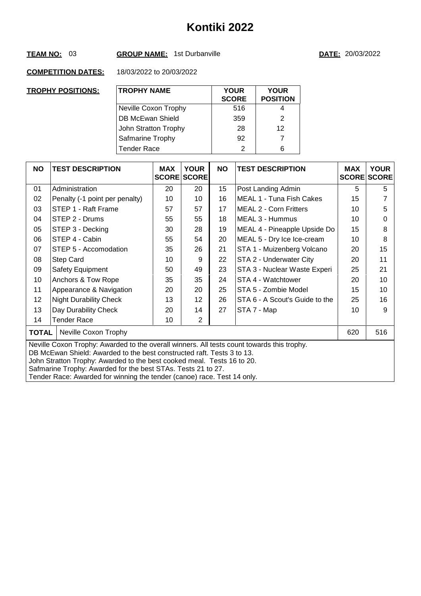## **TEAM NO:** 03 **GROUP NAME:** 1st Durbanville **DATE:** 20/03/2022

| <b>TROPHY POSITIONS:</b> | <b>TROPHY NAME</b>   | <b>YOUR</b><br><b>SCORE</b> | <b>YOUR</b><br><b>POSITION</b> |
|--------------------------|----------------------|-----------------------------|--------------------------------|
|                          | Neville Coxon Trophy | 516                         | 4                              |
|                          | DB McEwan Shield     | 359                         | 2                              |
|                          | John Stratton Trophy | 28                          | 12                             |
|                          | Safmarine Trophy     | 92                          | 7                              |
|                          | <b>Tender Race</b>   | 2                           | 6                              |

| <b>NO</b>    | <b>TEST DESCRIPTION</b>                                                                                                                                                                                                                                                                                                                                                                   | <b>MAX</b><br><b>SCORE</b> | <b>YOUR</b><br><b>SCORE</b> | <b>NO</b> | <b>TEST DESCRIPTION</b>        | <b>MAX</b> | <b>YOUR</b><br><b>SCORE SCORE</b> |  |
|--------------|-------------------------------------------------------------------------------------------------------------------------------------------------------------------------------------------------------------------------------------------------------------------------------------------------------------------------------------------------------------------------------------------|----------------------------|-----------------------------|-----------|--------------------------------|------------|-----------------------------------|--|
| 01           | Administration                                                                                                                                                                                                                                                                                                                                                                            | 20                         | 20                          | 15        | Post Landing Admin             | 5          | 5                                 |  |
| 02           | Penalty (-1 point per penalty)                                                                                                                                                                                                                                                                                                                                                            | 10                         | 10                          | 16        | MEAL 1 - Tuna Fish Cakes       | 15         |                                   |  |
| 03           | STEP 1 - Raft Frame                                                                                                                                                                                                                                                                                                                                                                       | 57                         | 57                          | 17        | <b>MEAL 2 - Corn Fritters</b>  | 10         | 5                                 |  |
| 04           | STEP 2 - Drums                                                                                                                                                                                                                                                                                                                                                                            | 55                         | 55                          | 18        | MEAL 3 - Hummus                | 10         | 0                                 |  |
| 05           | STEP 3 - Decking                                                                                                                                                                                                                                                                                                                                                                          | 30                         | 28                          | 19        | MEAL 4 - Pineapple Upside Do   | 15         | 8                                 |  |
| 06           | STEP 4 - Cabin                                                                                                                                                                                                                                                                                                                                                                            | 55                         | 54                          | 20        | MEAL 5 - Dry Ice Ice-cream     | 10         | 8                                 |  |
| 07           | STEP 5 - Accomodation                                                                                                                                                                                                                                                                                                                                                                     | 35                         | 26                          | 21        | STA 1 - Muizenberg Volcano     | 20         | 15                                |  |
| 08           | Step Card                                                                                                                                                                                                                                                                                                                                                                                 | 10                         | 9                           | 22        | STA 2 - Underwater City        | 20         | 11                                |  |
| 09           | Safety Equipment                                                                                                                                                                                                                                                                                                                                                                          | 50                         | 49                          | 23        | STA 3 - Nuclear Waste Experi   | 25         | 21                                |  |
| 10           | Anchors & Tow Rope                                                                                                                                                                                                                                                                                                                                                                        | 35                         | 35                          | 24        | STA 4 - Watchtower             | 20         | 10                                |  |
| 11           | Appearance & Navigation                                                                                                                                                                                                                                                                                                                                                                   | 20                         | 20                          | 25        | STA 5 - Zombie Model           | 15         | 10                                |  |
| 12           | <b>Night Durability Check</b>                                                                                                                                                                                                                                                                                                                                                             | 13                         | 12                          | 26        | STA 6 - A Scout's Guide to the | 25         | 16                                |  |
| 13           | Day Durability Check                                                                                                                                                                                                                                                                                                                                                                      | 20                         | 14                          | 27        | STA 7 - Map                    | 10         | 9                                 |  |
| 14           | <b>Tender Race</b>                                                                                                                                                                                                                                                                                                                                                                        | 10                         | 2                           |           |                                |            |                                   |  |
| <b>TOTAL</b> | Neville Coxon Trophy                                                                                                                                                                                                                                                                                                                                                                      |                            |                             |           |                                | 620        | 516                               |  |
|              | Neville Coxon Trophy: Awarded to the overall winners. All tests count towards this trophy.<br>DB McEwan Shield: Awarded to the best constructed raft. Tests 3 to 13.<br>John Stratton Trophy: Awarded to the best cooked meal. Tests 16 to 20.<br>Safmarine Trophy: Awarded for the best STAs. Tests 21 to 27.<br>Tender Race: Awarded for winning the tender (canoe) race. Test 14 only. |                            |                             |           |                                |            |                                   |  |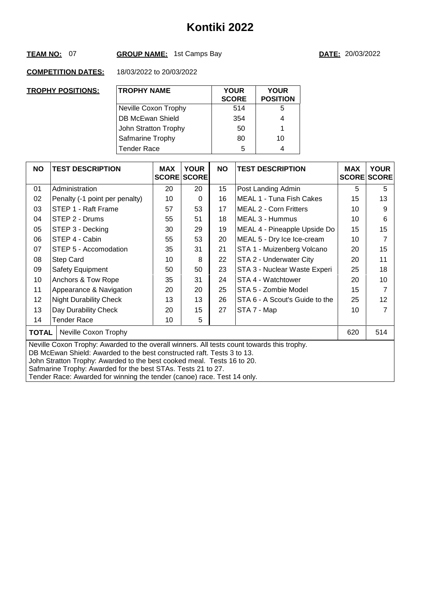# **TEAM NO:** 07 **GROUP NAME:** 1st Camps Bay **DATE:** 20/03/2022

| <b>TROPHY POSITIONS:</b> | <b>TROPHY NAME</b>   | <b>YOUR</b><br><b>SCORE</b> | <b>YOUR</b><br><b>POSITION</b> |
|--------------------------|----------------------|-----------------------------|--------------------------------|
|                          | Neville Coxon Trophy | 514                         | 5                              |
|                          | DB McEwan Shield     | 354                         | 4                              |
|                          | John Stratton Trophy | 50                          |                                |
|                          | Safmarine Trophy     | 80                          | 10                             |
|                          | <b>Tender Race</b>   | 5                           | 4                              |

| <b>NO</b>                                                                                                                                                                                                                                                                                                                                                                                 | <b>TEST DESCRIPTION</b>        | <b>MAX</b> | <b>YOUR</b><br><b>SCORE SCORE</b> | <b>NO</b> | <b>TEST DESCRIPTION</b>        | <b>MAX</b> | <b>YOUR</b><br><b>SCORE SCORE</b> |  |
|-------------------------------------------------------------------------------------------------------------------------------------------------------------------------------------------------------------------------------------------------------------------------------------------------------------------------------------------------------------------------------------------|--------------------------------|------------|-----------------------------------|-----------|--------------------------------|------------|-----------------------------------|--|
| 01                                                                                                                                                                                                                                                                                                                                                                                        | Administration                 | 20         | 20                                | 15        | Post Landing Admin             | 5          | 5                                 |  |
| 02                                                                                                                                                                                                                                                                                                                                                                                        | Penalty (-1 point per penalty) | 10         | $\Omega$                          | 16        | MEAL 1 - Tuna Fish Cakes       | 15         | 13                                |  |
| 03                                                                                                                                                                                                                                                                                                                                                                                        | STEP 1 - Raft Frame            | 57         | 53                                | 17        | <b>MEAL 2 - Corn Fritters</b>  | 10         | 9                                 |  |
| 04                                                                                                                                                                                                                                                                                                                                                                                        | STEP 2 - Drums                 | 55         | 51                                | 18        | MEAL 3 - Hummus                | 10         | 6                                 |  |
| 05                                                                                                                                                                                                                                                                                                                                                                                        | STEP 3 - Decking               | 30         | 29                                | 19        | MEAL 4 - Pineapple Upside Do   | 15         | 15                                |  |
| 06                                                                                                                                                                                                                                                                                                                                                                                        | STEP 4 - Cabin                 | 55         | 53                                | 20        | MEAL 5 - Dry Ice Ice-cream     | 10         | 7                                 |  |
| 07                                                                                                                                                                                                                                                                                                                                                                                        | STEP 5 - Accomodation          | 35         | 31                                | 21        | STA 1 - Muizenberg Volcano     | 20         | 15                                |  |
| 08                                                                                                                                                                                                                                                                                                                                                                                        | Step Card                      | 10         | 8                                 | 22        | STA 2 - Underwater City        | 20         | 11                                |  |
| 09                                                                                                                                                                                                                                                                                                                                                                                        | Safety Equipment               | 50         | 50                                | 23        | STA 3 - Nuclear Waste Experi   | 25         | 18                                |  |
| 10                                                                                                                                                                                                                                                                                                                                                                                        | Anchors & Tow Rope             | 35         | 31                                | 24        | STA 4 - Watchtower             | 20         | 10                                |  |
| 11                                                                                                                                                                                                                                                                                                                                                                                        | Appearance & Navigation        | 20         | 20                                | 25        | STA 5 - Zombie Model           | 15         | 7                                 |  |
| 12                                                                                                                                                                                                                                                                                                                                                                                        | <b>Night Durability Check</b>  | 13         | 13                                | 26        | STA 6 - A Scout's Guide to the | 25         | 12                                |  |
| 13                                                                                                                                                                                                                                                                                                                                                                                        | Day Durability Check           | 20         | 15                                | 27        | STA 7 - Map                    | 10         | 7                                 |  |
| 14                                                                                                                                                                                                                                                                                                                                                                                        | <b>Tender Race</b>             | 10         | 5                                 |           |                                |            |                                   |  |
| <b>TOTAL</b>                                                                                                                                                                                                                                                                                                                                                                              | Neville Coxon Trophy           |            |                                   |           |                                | 620        | 514                               |  |
| Neville Coxon Trophy: Awarded to the overall winners. All tests count towards this trophy.<br>DB McEwan Shield: Awarded to the best constructed raft. Tests 3 to 13.<br>John Stratton Trophy: Awarded to the best cooked meal. Tests 16 to 20.<br>Safmarine Trophy: Awarded for the best STAs. Tests 21 to 27.<br>Tender Race: Awarded for winning the tender (canoe) race. Test 14 only. |                                |            |                                   |           |                                |            |                                   |  |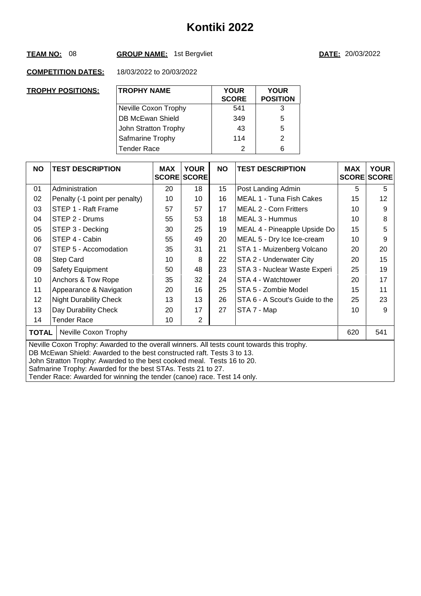# **TEAM NO:** 08 **GROUP NAME:** 1st Bergvliet **DATE:** 20/03/2022

| <b>TROPHY POSITIONS:</b> | <b>TROPHY NAME</b>   | <b>YOUR</b><br><b>SCORE</b> | <b>YOUR</b><br><b>POSITION</b> |
|--------------------------|----------------------|-----------------------------|--------------------------------|
|                          | Neville Coxon Trophy | 541                         | 3                              |
|                          | DB McEwan Shield     | 349                         | 5                              |
|                          | John Stratton Trophy | 43                          | 5                              |
|                          | Safmarine Trophy     | 114                         | 2                              |
|                          | <b>Tender Race</b>   | 2                           | 6                              |

| <b>NO</b> | <b>TEST DESCRIPTION</b>                                                                                                                                                                                                                                                                                                                                                                   | <b>MAX</b> | <b>YOUR</b><br><b>SCORE SCORE</b> | <b>NO</b> | <b>TEST DESCRIPTION</b>        | <b>MAX</b> | <b>YOUR</b><br><b>SCORE SCORE</b> |  |  |
|-----------|-------------------------------------------------------------------------------------------------------------------------------------------------------------------------------------------------------------------------------------------------------------------------------------------------------------------------------------------------------------------------------------------|------------|-----------------------------------|-----------|--------------------------------|------------|-----------------------------------|--|--|
| 01        | Administration                                                                                                                                                                                                                                                                                                                                                                            | 20         | 18                                | 15        | Post Landing Admin             | 5          | 5                                 |  |  |
| 02        | Penalty (-1 point per penalty)                                                                                                                                                                                                                                                                                                                                                            | 10         | 10                                | 16        | MEAL 1 - Tuna Fish Cakes       | 15         | 12                                |  |  |
| 03        | STEP 1 - Raft Frame                                                                                                                                                                                                                                                                                                                                                                       | 57         | 57                                | 17        | <b>MEAL 2 - Corn Fritters</b>  | 10         | 9                                 |  |  |
| 04        | STEP 2 - Drums                                                                                                                                                                                                                                                                                                                                                                            | 55         | 53                                | 18        | MEAL 3 - Hummus                | 10         | 8                                 |  |  |
| 05        | STEP 3 - Decking                                                                                                                                                                                                                                                                                                                                                                          | 30         | 25                                | 19        | MEAL 4 - Pineapple Upside Do   | 15         | 5                                 |  |  |
| 06        | STEP 4 - Cabin                                                                                                                                                                                                                                                                                                                                                                            | 55         | 49                                | 20        | MEAL 5 - Dry Ice Ice-cream     | 10         | 9                                 |  |  |
| 07        | STEP 5 - Accomodation                                                                                                                                                                                                                                                                                                                                                                     | 35         | 31                                | 21        | STA 1 - Muizenberg Volcano     | 20         | 20                                |  |  |
| 08        | Step Card                                                                                                                                                                                                                                                                                                                                                                                 | 10         | 8                                 | 22        | STA 2 - Underwater City        | 20         | 15                                |  |  |
| 09        | Safety Equipment                                                                                                                                                                                                                                                                                                                                                                          | 50         | 48                                | 23        | STA 3 - Nuclear Waste Experi   | 25         | 19                                |  |  |
| 10        | Anchors & Tow Rope                                                                                                                                                                                                                                                                                                                                                                        | 35         | 32                                | 24        | STA 4 - Watchtower             | 20         | 17                                |  |  |
| 11        | Appearance & Navigation                                                                                                                                                                                                                                                                                                                                                                   | 20         | 16                                | 25        | STA 5 - Zombie Model           | 15         | 11                                |  |  |
| 12        | <b>Night Durability Check</b>                                                                                                                                                                                                                                                                                                                                                             | 13         | 13                                | 26        | STA 6 - A Scout's Guide to the | 25         | 23                                |  |  |
| 13        | Day Durability Check                                                                                                                                                                                                                                                                                                                                                                      | 20         | 17                                | 27        | STA 7 - Map                    | 10         | 9                                 |  |  |
| 14        | Tender Race                                                                                                                                                                                                                                                                                                                                                                               | 10         | $\overline{2}$                    |           |                                |            |                                   |  |  |
| TOTAL     | Neville Coxon Trophy                                                                                                                                                                                                                                                                                                                                                                      |            |                                   |           |                                | 620        | 541                               |  |  |
|           | Neville Coxon Trophy: Awarded to the overall winners. All tests count towards this trophy.<br>DB McEwan Shield: Awarded to the best constructed raft. Tests 3 to 13.<br>John Stratton Trophy: Awarded to the best cooked meal. Tests 16 to 20.<br>Safmarine Trophy: Awarded for the best STAs. Tests 21 to 27.<br>Tender Race: Awarded for winning the tender (canoe) race. Test 14 only. |            |                                   |           |                                |            |                                   |  |  |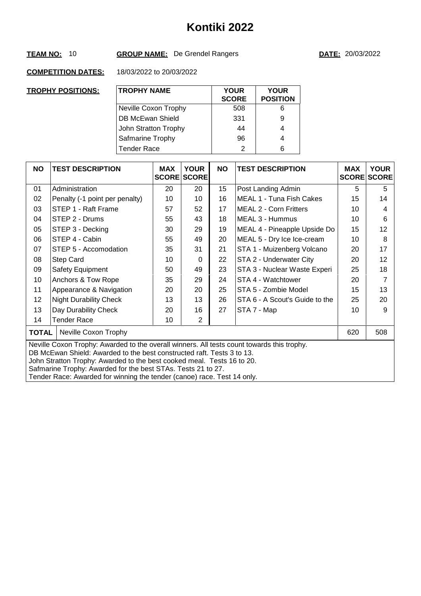# **TEAM NO:** 10 **GROUP NAME:** De Grendel Rangers **DATE:** 20/03/2022

| <b>TROPHY POSITIONS:</b> | <b>TROPHY NAME</b>      | <b>YOUR</b><br><b>SCORE</b> | <b>YOUR</b><br><b>POSITION</b> |
|--------------------------|-------------------------|-----------------------------|--------------------------------|
|                          | Neville Coxon Trophy    | 508                         | 6                              |
|                          | <b>DB McEwan Shield</b> | 331                         | 9                              |
|                          | John Stratton Trophy    | 44                          | 4                              |
|                          | Safmarine Trophy        | 96                          | 4                              |
|                          | <b>Tender Race</b>      | 2                           | 6                              |

| <b>NO</b>                                                                                                                                                                                                                                                                                                                                                                                 | <b>TEST DESCRIPTION</b>        | <b>MAX</b> | <b>YOUR</b><br><b>SCORE SCORE</b> | <b>NO</b> | <b>TEST DESCRIPTION</b>        | <b>MAX</b> | <b>YOUR</b><br><b>SCORE SCORE</b> |  |
|-------------------------------------------------------------------------------------------------------------------------------------------------------------------------------------------------------------------------------------------------------------------------------------------------------------------------------------------------------------------------------------------|--------------------------------|------------|-----------------------------------|-----------|--------------------------------|------------|-----------------------------------|--|
| 01                                                                                                                                                                                                                                                                                                                                                                                        | Administration                 | 20         | 20                                | 15        | Post Landing Admin             | 5          | 5                                 |  |
| 02                                                                                                                                                                                                                                                                                                                                                                                        | Penalty (-1 point per penalty) | 10         | 10                                | 16        | MEAL 1 - Tuna Fish Cakes       | 15         | 14                                |  |
| 03                                                                                                                                                                                                                                                                                                                                                                                        | STEP 1 - Raft Frame            | 57         | 52                                | 17        | <b>MEAL 2 - Corn Fritters</b>  | 10         | 4                                 |  |
| 04                                                                                                                                                                                                                                                                                                                                                                                        | STEP 2 - Drums                 | 55         | 43                                | 18        | MEAL 3 - Hummus                | 10         | 6                                 |  |
| 05                                                                                                                                                                                                                                                                                                                                                                                        | STEP 3 - Decking               | 30         | 29                                | 19        | MEAL 4 - Pineapple Upside Do   | 15         | 12                                |  |
| 06                                                                                                                                                                                                                                                                                                                                                                                        | STEP 4 - Cabin                 | 55         | 49                                | 20        | MEAL 5 - Dry Ice Ice-cream     | 10         | 8                                 |  |
| 07                                                                                                                                                                                                                                                                                                                                                                                        | STEP 5 - Accomodation          | 35         | 31                                | 21        | STA 1 - Muizenberg Volcano     | 20         | 17                                |  |
| 08                                                                                                                                                                                                                                                                                                                                                                                        | Step Card                      | 10         | $\Omega$                          | 22        | STA 2 - Underwater City        | 20         | 12                                |  |
| 09                                                                                                                                                                                                                                                                                                                                                                                        | Safety Equipment               | 50         | 49                                | 23        | STA 3 - Nuclear Waste Experi   | 25         | 18                                |  |
| 10                                                                                                                                                                                                                                                                                                                                                                                        | Anchors & Tow Rope             | 35         | 29                                | 24        | STA 4 - Watchtower             | 20         | 7                                 |  |
| 11                                                                                                                                                                                                                                                                                                                                                                                        | Appearance & Navigation        | 20         | 20                                | 25        | STA 5 - Zombie Model           | 15         | 13                                |  |
| 12                                                                                                                                                                                                                                                                                                                                                                                        | <b>Night Durability Check</b>  | 13         | 13                                | 26        | STA 6 - A Scout's Guide to the | 25         | 20                                |  |
| 13                                                                                                                                                                                                                                                                                                                                                                                        | Day Durability Check           | 20         | 16                                | 27        | STA 7 - Map                    | 10         | 9                                 |  |
| 14                                                                                                                                                                                                                                                                                                                                                                                        | <b>Tender Race</b>             | 10         | $\overline{2}$                    |           |                                |            |                                   |  |
| <b>TOTAL</b>                                                                                                                                                                                                                                                                                                                                                                              | Neville Coxon Trophy           |            |                                   |           |                                | 620        | 508                               |  |
| Neville Coxon Trophy: Awarded to the overall winners. All tests count towards this trophy.<br>DB McEwan Shield: Awarded to the best constructed raft. Tests 3 to 13.<br>John Stratton Trophy: Awarded to the best cooked meal. Tests 16 to 20.<br>Safmarine Trophy: Awarded for the best STAs. Tests 21 to 27.<br>Tender Race: Awarded for winning the tender (canoe) race. Test 14 only. |                                |            |                                   |           |                                |            |                                   |  |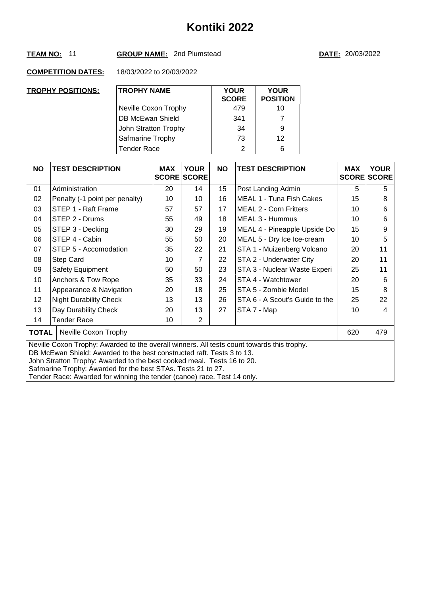## **TEAM NO:** 11 **GROUP NAME:** 2nd Plumstead **DATE:** 20/03/2022

| <b>TROPHY POSITIONS:</b> | <b>TROPHY NAME</b>   | <b>YOUR</b><br><b>SCORE</b> | <b>YOUR</b><br><b>POSITION</b> |
|--------------------------|----------------------|-----------------------------|--------------------------------|
|                          | Neville Coxon Trophy | 479                         | 10                             |
|                          | DB McEwan Shield     | 341                         | 7                              |
|                          | John Stratton Trophy | 34                          | 9                              |
|                          | Safmarine Trophy     | 73                          | 12                             |
|                          | <b>Tender Race</b>   | $\mathcal{P}$               | 6                              |

| <b>NO</b>                                                                                                                                                                                                                                                                                                                                                                                 | <b>TEST DESCRIPTION</b>        | <b>MAX</b> | <b>YOUR</b><br><b>SCORE SCORE</b> | <b>NO</b> | <b>TEST DESCRIPTION</b>        | <b>MAX</b> | <b>YOUR</b><br><b>SCORE SCORE</b> |  |
|-------------------------------------------------------------------------------------------------------------------------------------------------------------------------------------------------------------------------------------------------------------------------------------------------------------------------------------------------------------------------------------------|--------------------------------|------------|-----------------------------------|-----------|--------------------------------|------------|-----------------------------------|--|
| 01                                                                                                                                                                                                                                                                                                                                                                                        | Administration                 | 20         | 14                                | 15        | Post Landing Admin             | 5          | 5                                 |  |
| 02                                                                                                                                                                                                                                                                                                                                                                                        | Penalty (-1 point per penalty) | 10         | 10                                | 16        | MEAL 1 - Tuna Fish Cakes       | 15         | 8                                 |  |
| 03                                                                                                                                                                                                                                                                                                                                                                                        | STEP 1 - Raft Frame            | 57         | 57                                | 17        | <b>MEAL 2 - Corn Fritters</b>  | 10         | 6                                 |  |
| 04                                                                                                                                                                                                                                                                                                                                                                                        | STEP 2 - Drums                 | 55         | 49                                | 18        | MEAL 3 - Hummus                | 10         | 6                                 |  |
| 05                                                                                                                                                                                                                                                                                                                                                                                        | STEP 3 - Decking               | 30         | 29                                | 19        | MEAL 4 - Pineapple Upside Do   | 15         | 9                                 |  |
| 06                                                                                                                                                                                                                                                                                                                                                                                        | STEP 4 - Cabin                 | 55         | 50                                | 20        | MEAL 5 - Dry Ice Ice-cream     | 10         | 5                                 |  |
| 07                                                                                                                                                                                                                                                                                                                                                                                        | STEP 5 - Accomodation          | 35         | 22                                | 21        | STA 1 - Muizenberg Volcano     | 20         | 11                                |  |
| 08                                                                                                                                                                                                                                                                                                                                                                                        | <b>Step Card</b>               | 10         | 7                                 | 22        | STA 2 - Underwater City        | 20         | 11                                |  |
| 09                                                                                                                                                                                                                                                                                                                                                                                        | Safety Equipment               | 50         | 50                                | 23        | STA 3 - Nuclear Waste Experi   | 25         | 11                                |  |
| 10                                                                                                                                                                                                                                                                                                                                                                                        | Anchors & Tow Rope             | 35         | 33                                | 24        | STA 4 - Watchtower             | 20         | 6                                 |  |
| 11                                                                                                                                                                                                                                                                                                                                                                                        | Appearance & Navigation        | 20         | 18                                | 25        | STA 5 - Zombie Model           | 15         | 8                                 |  |
| 12                                                                                                                                                                                                                                                                                                                                                                                        | <b>Night Durability Check</b>  | 13         | 13                                | 26        | STA 6 - A Scout's Guide to the | 25         | 22                                |  |
| 13                                                                                                                                                                                                                                                                                                                                                                                        | Day Durability Check           | 20         | 13                                | 27        | STA 7 - Map                    | 10         | 4                                 |  |
| 14                                                                                                                                                                                                                                                                                                                                                                                        | Tender Race                    | 10         | 2                                 |           |                                |            |                                   |  |
| <b>TOTAL</b>                                                                                                                                                                                                                                                                                                                                                                              | Neville Coxon Trophy           |            |                                   |           |                                | 620        | 479                               |  |
| Neville Coxon Trophy: Awarded to the overall winners. All tests count towards this trophy.<br>DB McEwan Shield: Awarded to the best constructed raft. Tests 3 to 13.<br>John Stratton Trophy: Awarded to the best cooked meal. Tests 16 to 20.<br>Safmarine Trophy: Awarded for the best STAs. Tests 21 to 27.<br>Tender Race: Awarded for winning the tender (canoe) race. Test 14 only. |                                |            |                                   |           |                                |            |                                   |  |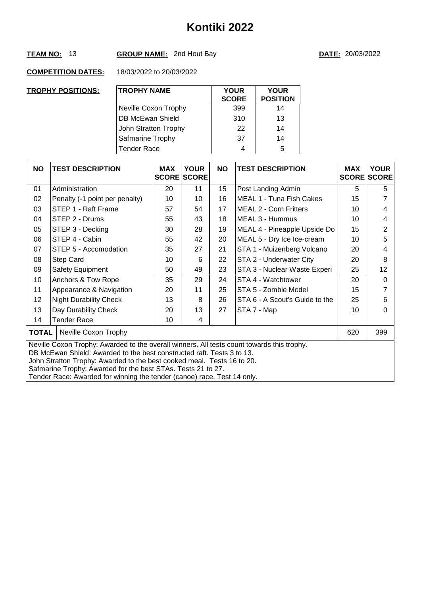# **TEAM NO:** 13 **GROUP NAME:** 2nd Hout Bay **DATE:** 20/03/2022

| <b>TROPHY POSITIONS:</b> | <b>TROPHY NAME</b>   | <b>YOUR</b><br><b>SCORE</b> | <b>YOUR</b><br><b>POSITION</b> |
|--------------------------|----------------------|-----------------------------|--------------------------------|
|                          | Neville Coxon Trophy | 399                         | 14                             |
|                          | DB McEwan Shield     | 310                         | 13                             |
|                          | John Stratton Trophy | 22                          | 14                             |
|                          | Safmarine Trophy     | 37                          | 14                             |
|                          | <b>Tender Race</b>   | 4                           | 5                              |

| <b>NO</b> | <b>TEST DESCRIPTION</b>                                                                                                                                                                                                                                                                                                                                                                   | <b>MAX</b> | <b>YOUR</b><br><b>SCORE SCORE</b> | <b>NO</b> | <b>TEST DESCRIPTION</b>        | <b>MAX</b> | <b>YOUR</b><br><b>SCORE SCORE</b> |  |  |
|-----------|-------------------------------------------------------------------------------------------------------------------------------------------------------------------------------------------------------------------------------------------------------------------------------------------------------------------------------------------------------------------------------------------|------------|-----------------------------------|-----------|--------------------------------|------------|-----------------------------------|--|--|
| 01        | Administration                                                                                                                                                                                                                                                                                                                                                                            | 20         | 11                                | 15        | Post Landing Admin             | 5          | 5                                 |  |  |
| 02        | Penalty (-1 point per penalty)                                                                                                                                                                                                                                                                                                                                                            | 10         | 10                                | 16        | MEAL 1 - Tuna Fish Cakes       | 15         |                                   |  |  |
| 03        | STEP 1 - Raft Frame                                                                                                                                                                                                                                                                                                                                                                       | 57         | 54                                | 17        | <b>MEAL 2 - Corn Fritters</b>  | 10         | 4                                 |  |  |
| 04        | STEP 2 - Drums                                                                                                                                                                                                                                                                                                                                                                            | 55         | 43                                | 18        | MEAL 3 - Hummus                | 10         | 4                                 |  |  |
| 05        | STEP 3 - Decking                                                                                                                                                                                                                                                                                                                                                                          | 30         | 28                                | 19        | MEAL 4 - Pineapple Upside Do   | 15         | 2                                 |  |  |
| 06        | STEP 4 - Cabin                                                                                                                                                                                                                                                                                                                                                                            | 55         | 42                                | 20        | MEAL 5 - Dry Ice Ice-cream     | 10         | 5                                 |  |  |
| 07        | STEP 5 - Accomodation                                                                                                                                                                                                                                                                                                                                                                     | 35         | 27                                | 21        | STA 1 - Muizenberg Volcano     | 20         | 4                                 |  |  |
| 08        | <b>Step Card</b>                                                                                                                                                                                                                                                                                                                                                                          | 10         | 6                                 | 22        | STA 2 - Underwater City        | 20         | 8                                 |  |  |
| 09        | Safety Equipment                                                                                                                                                                                                                                                                                                                                                                          | 50         | 49                                | 23        | STA 3 - Nuclear Waste Experi   | 25         | 12                                |  |  |
| 10        | Anchors & Tow Rope                                                                                                                                                                                                                                                                                                                                                                        | 35         | 29                                | 24        | STA 4 - Watchtower             | 20         | $\Omega$                          |  |  |
| 11        | Appearance & Navigation                                                                                                                                                                                                                                                                                                                                                                   | 20         | 11                                | 25        | STA 5 - Zombie Model           | 15         | 7                                 |  |  |
| 12        | <b>Night Durability Check</b>                                                                                                                                                                                                                                                                                                                                                             | 13         | 8                                 | 26        | STA 6 - A Scout's Guide to the | 25         | 6                                 |  |  |
| 13        | Day Durability Check                                                                                                                                                                                                                                                                                                                                                                      | 20         | 13                                | 27        | STA 7 - Map                    | 10         | 0                                 |  |  |
| 14        | Tender Race                                                                                                                                                                                                                                                                                                                                                                               | 10         | 4                                 |           |                                |            |                                   |  |  |
| TOTAL     | Neville Coxon Trophy                                                                                                                                                                                                                                                                                                                                                                      |            |                                   |           |                                | 620        | 399                               |  |  |
|           | Neville Coxon Trophy: Awarded to the overall winners. All tests count towards this trophy.<br>DB McEwan Shield: Awarded to the best constructed raft. Tests 3 to 13.<br>John Stratton Trophy: Awarded to the best cooked meal. Tests 16 to 20.<br>Safmarine Trophy: Awarded for the best STAs. Tests 21 to 27.<br>Tender Race: Awarded for winning the tender (canoe) race. Test 14 only. |            |                                   |           |                                |            |                                   |  |  |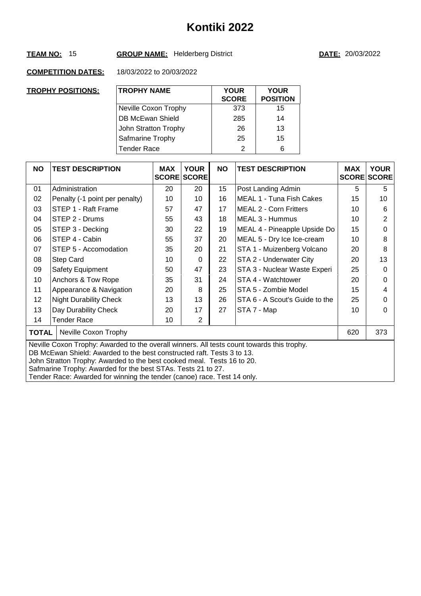# **TEAM NO:** 15 **GROUP NAME:** Helderberg District **DATE:** 20/03/2022

| <b>TROPHY POSITIONS:</b> | <b>TROPHY NAME</b>   | <b>YOUR</b><br><b>SCORE</b> | <b>YOUR</b><br><b>POSITION</b> |
|--------------------------|----------------------|-----------------------------|--------------------------------|
|                          | Neville Coxon Trophy | 373                         | 15                             |
|                          | DB McEwan Shield     | 285                         | 14                             |
|                          | John Stratton Trophy | 26                          | 13                             |
|                          | Safmarine Trophy     | 25                          | 15                             |
|                          | <b>Tender Race</b>   | 2                           | 6                              |

| <b>NO</b>                                                                                                                                                                                                                                                                                                                                                                                 | <b>TEST DESCRIPTION</b>        | <b>MAX</b> | <b>YOUR</b><br><b>SCORE SCORE</b> | <b>NO</b> | <b>TEST DESCRIPTION</b>        | <b>MAX</b> | <b>YOUR</b><br><b>SCORE SCORE</b> |  |
|-------------------------------------------------------------------------------------------------------------------------------------------------------------------------------------------------------------------------------------------------------------------------------------------------------------------------------------------------------------------------------------------|--------------------------------|------------|-----------------------------------|-----------|--------------------------------|------------|-----------------------------------|--|
| 01                                                                                                                                                                                                                                                                                                                                                                                        | Administration                 | 20         | 20                                | 15        | Post Landing Admin             | 5          | 5                                 |  |
| 02                                                                                                                                                                                                                                                                                                                                                                                        | Penalty (-1 point per penalty) | 10         | 10                                | 16        | MEAL 1 - Tuna Fish Cakes       | 15         | 10                                |  |
| 03                                                                                                                                                                                                                                                                                                                                                                                        | STEP 1 - Raft Frame            | 57         | 47                                | 17        | <b>MEAL 2 - Corn Fritters</b>  | 10         | 6                                 |  |
| 04                                                                                                                                                                                                                                                                                                                                                                                        | STEP 2 - Drums                 | 55         | 43                                | 18        | MEAL 3 - Hummus                | 10         | 2                                 |  |
| 05                                                                                                                                                                                                                                                                                                                                                                                        | STEP 3 - Decking               | 30         | 22                                | 19        | MEAL 4 - Pineapple Upside Do   | 15         | 0                                 |  |
| 06                                                                                                                                                                                                                                                                                                                                                                                        | STEP 4 - Cabin                 | 55         | 37                                | 20        | MEAL 5 - Dry Ice Ice-cream     | 10         | 8                                 |  |
| 07                                                                                                                                                                                                                                                                                                                                                                                        | STEP 5 - Accomodation          | 35         | 20                                | 21        | STA 1 - Muizenberg Volcano     | 20         | 8                                 |  |
| 08                                                                                                                                                                                                                                                                                                                                                                                        | Step Card                      | 10         | $\Omega$                          | 22        | STA 2 - Underwater City        | 20         | 13                                |  |
| 09                                                                                                                                                                                                                                                                                                                                                                                        | Safety Equipment               | 50         | 47                                | 23        | STA 3 - Nuclear Waste Experi   | 25         | 0                                 |  |
| 10                                                                                                                                                                                                                                                                                                                                                                                        | Anchors & Tow Rope             | 35         | 31                                | 24        | STA 4 - Watchtower             | 20         | 0                                 |  |
| 11                                                                                                                                                                                                                                                                                                                                                                                        | Appearance & Navigation        | 20         | 8                                 | 25        | STA 5 - Zombie Model           | 15         | 4                                 |  |
| 12                                                                                                                                                                                                                                                                                                                                                                                        | <b>Night Durability Check</b>  | 13         | 13                                | 26        | STA 6 - A Scout's Guide to the | 25         | 0                                 |  |
| 13                                                                                                                                                                                                                                                                                                                                                                                        | Day Durability Check           | 20         | 17                                | 27        | STA 7 - Map                    | 10         | 0                                 |  |
| 14                                                                                                                                                                                                                                                                                                                                                                                        | Tender Race                    | 10         | $\overline{2}$                    |           |                                |            |                                   |  |
| <b>TOTAL</b>                                                                                                                                                                                                                                                                                                                                                                              | Neville Coxon Trophy           |            |                                   |           |                                | 620        | 373                               |  |
| Neville Coxon Trophy: Awarded to the overall winners. All tests count towards this trophy.<br>DB McEwan Shield: Awarded to the best constructed raft. Tests 3 to 13.<br>John Stratton Trophy: Awarded to the best cooked meal. Tests 16 to 20.<br>Safmarine Trophy: Awarded for the best STAs. Tests 21 to 27.<br>Tender Race: Awarded for winning the tender (canoe) race. Test 14 only. |                                |            |                                   |           |                                |            |                                   |  |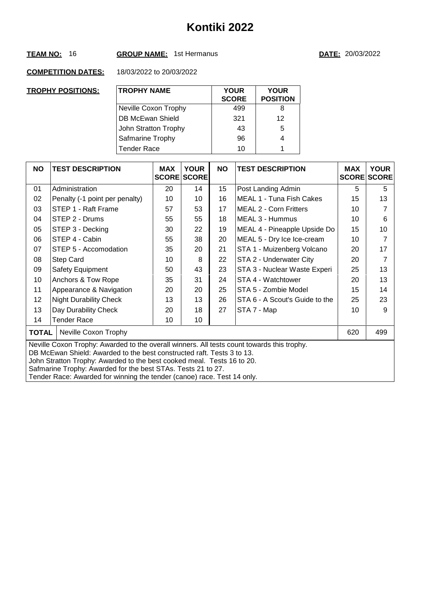## **TEAM NO:** 16 **GROUP NAME:** 1st Hermanus **DATE:** 20/03/2022

| <b>TROPHY POSITIONS:</b> | <b>TROPHY NAME</b>   | <b>YOUR</b><br><b>SCORE</b> | <b>YOUR</b><br><b>POSITION</b> |
|--------------------------|----------------------|-----------------------------|--------------------------------|
|                          | Neville Coxon Trophy | 499                         | 8                              |
|                          | DB McEwan Shield     | 321                         | 12                             |
|                          | John Stratton Trophy | 43                          | 5                              |
|                          | Safmarine Trophy     | 96                          | 4                              |
|                          | <b>Tender Race</b>   | 10                          | 1                              |

| <b>NO</b>                                                                                                                                                                                                                                                                                                                                                                                 | <b>TEST DESCRIPTION</b>        | <b>MAX</b> | <b>YOUR</b><br><b>SCORE SCORE</b> | <b>NO</b> | <b>TEST DESCRIPTION</b>        | <b>MAX</b><br><b>SCORE</b> | <b>YOUR</b><br><b>SCORE</b> |  |
|-------------------------------------------------------------------------------------------------------------------------------------------------------------------------------------------------------------------------------------------------------------------------------------------------------------------------------------------------------------------------------------------|--------------------------------|------------|-----------------------------------|-----------|--------------------------------|----------------------------|-----------------------------|--|
| 01                                                                                                                                                                                                                                                                                                                                                                                        | Administration                 | 20         | 14                                | 15        | Post Landing Admin             | 5                          | 5                           |  |
| 02                                                                                                                                                                                                                                                                                                                                                                                        | Penalty (-1 point per penalty) | 10         | 10                                | 16        | MEAL 1 - Tuna Fish Cakes       | 15                         | 13                          |  |
| 03                                                                                                                                                                                                                                                                                                                                                                                        | STEP 1 - Raft Frame            | 57         | 53                                | 17        | <b>MEAL 2 - Corn Fritters</b>  | 10                         |                             |  |
| 04                                                                                                                                                                                                                                                                                                                                                                                        | STEP 2 - Drums                 | 55         | 55                                | 18        | MEAL 3 - Hummus                | 10                         | 6                           |  |
| 05                                                                                                                                                                                                                                                                                                                                                                                        | STEP 3 - Decking               | 30         | 22                                | 19        | MEAL 4 - Pineapple Upside Do   | 15                         | 10                          |  |
| 06                                                                                                                                                                                                                                                                                                                                                                                        | STEP 4 - Cabin                 | 55         | 38                                | 20        | MEAL 5 - Dry Ice Ice-cream     | 10                         | 7                           |  |
| 07                                                                                                                                                                                                                                                                                                                                                                                        | STEP 5 - Accomodation          | 35         | 20                                | 21        | STA 1 - Muizenberg Volcano     | 20                         | 17                          |  |
| 08                                                                                                                                                                                                                                                                                                                                                                                        | Step Card                      | 10         | 8                                 | 22        | STA 2 - Underwater City        | 20                         |                             |  |
| 09                                                                                                                                                                                                                                                                                                                                                                                        | Safety Equipment               | 50         | 43                                | 23        | STA 3 - Nuclear Waste Experi   | 25                         | 13                          |  |
| 10                                                                                                                                                                                                                                                                                                                                                                                        | Anchors & Tow Rope             | 35         | 31                                | 24        | STA 4 - Watchtower             | 20                         | 13                          |  |
| 11                                                                                                                                                                                                                                                                                                                                                                                        | Appearance & Navigation        | 20         | 20                                | 25        | STA 5 - Zombie Model           | 15                         | 14                          |  |
| 12                                                                                                                                                                                                                                                                                                                                                                                        | <b>Night Durability Check</b>  | 13         | 13                                | 26        | STA 6 - A Scout's Guide to the | 25                         | 23                          |  |
| 13                                                                                                                                                                                                                                                                                                                                                                                        | Day Durability Check           | 20         | 18                                | 27        | STA 7 - Map                    | 10                         | 9                           |  |
| 14                                                                                                                                                                                                                                                                                                                                                                                        | Tender Race                    | 10         | 10                                |           |                                |                            |                             |  |
| <b>TOTAL</b>                                                                                                                                                                                                                                                                                                                                                                              | Neville Coxon Trophy           |            |                                   |           |                                | 620                        | 499                         |  |
| Neville Coxon Trophy: Awarded to the overall winners. All tests count towards this trophy.<br>DB McEwan Shield: Awarded to the best constructed raft. Tests 3 to 13.<br>John Stratton Trophy: Awarded to the best cooked meal. Tests 16 to 20.<br>Safmarine Trophy: Awarded for the best STAs. Tests 21 to 27.<br>Tender Race: Awarded for winning the tender (canoe) race. Test 14 only. |                                |            |                                   |           |                                |                            |                             |  |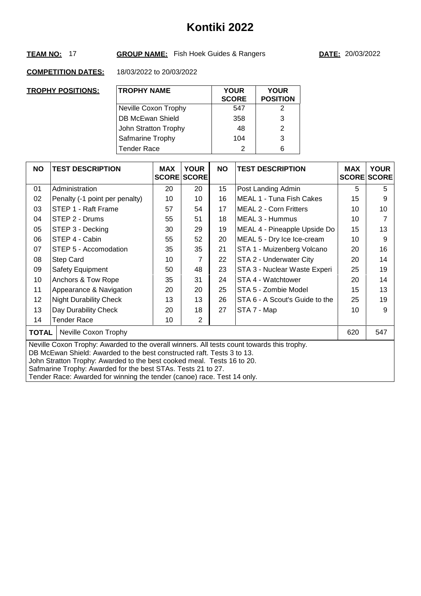# **Kontiki 2022**

# **TEAM NO:** 17 **GROUP NAME:** Fish Hoek Guides & Rangers **DATE:** 20/03/2022

| TROPHY POSITIONS: | <b>TROPHY NAME</b>      | <b>YOUR</b><br><b>SCORE</b> | <b>YOUR</b><br><b>POSITION</b> |
|-------------------|-------------------------|-----------------------------|--------------------------------|
|                   | Neville Coxon Trophy    | 547                         | 2                              |
|                   | <b>DB McEwan Shield</b> | 358                         | 3                              |
|                   | John Stratton Trophy    | 48                          | 2                              |
|                   | Safmarine Trophy        | 104                         | 3                              |
|                   | <b>Tender Race</b>      | 2                           | 6                              |

| <b>NO</b>    | <b>TEST DESCRIPTION</b>                                                                                                                                                                                                                                                                                                                                                                   | <b>MAX</b> | <b>YOUR</b><br><b>SCORE SCORE</b> | <b>NO</b> | <b>TEST DESCRIPTION</b>        | <b>MAX</b> | <b>YOUR</b><br><b>SCORE SCORE</b> |  |  |
|--------------|-------------------------------------------------------------------------------------------------------------------------------------------------------------------------------------------------------------------------------------------------------------------------------------------------------------------------------------------------------------------------------------------|------------|-----------------------------------|-----------|--------------------------------|------------|-----------------------------------|--|--|
| 01           | Administration                                                                                                                                                                                                                                                                                                                                                                            | 20         | 20                                | 15        | Post Landing Admin             | 5          | 5                                 |  |  |
| 02           | Penalty (-1 point per penalty)                                                                                                                                                                                                                                                                                                                                                            | 10         | 10                                | 16        | MEAL 1 - Tuna Fish Cakes       | 15         | 9                                 |  |  |
| 03           | STEP 1 - Raft Frame                                                                                                                                                                                                                                                                                                                                                                       | 57         | 54                                | 17        | <b>MEAL 2 - Corn Fritters</b>  | 10         | 10                                |  |  |
| 04           | STEP 2 - Drums                                                                                                                                                                                                                                                                                                                                                                            | 55         | 51                                | 18        | MEAL 3 - Hummus                | 10         |                                   |  |  |
| 05           | STEP 3 - Decking                                                                                                                                                                                                                                                                                                                                                                          | 30         | 29                                | 19        | MEAL 4 - Pineapple Upside Do   | 15         | 13                                |  |  |
| 06           | STEP 4 - Cabin                                                                                                                                                                                                                                                                                                                                                                            | 55         | 52                                | 20        | MEAL 5 - Dry Ice Ice-cream     | 10         | 9                                 |  |  |
| 07           | STEP 5 - Accomodation                                                                                                                                                                                                                                                                                                                                                                     | 35         | 35                                | 21        | STA 1 - Muizenberg Volcano     | 20         | 16                                |  |  |
| 08           | Step Card                                                                                                                                                                                                                                                                                                                                                                                 | 10         | 7                                 | 22        | STA 2 - Underwater City        | 20         | 14                                |  |  |
| 09           | Safety Equipment                                                                                                                                                                                                                                                                                                                                                                          | 50         | 48                                | 23        | STA 3 - Nuclear Waste Experi   | 25         | 19                                |  |  |
| 10           | Anchors & Tow Rope                                                                                                                                                                                                                                                                                                                                                                        | 35         | 31                                | 24        | STA 4 - Watchtower             | 20         | 14                                |  |  |
| 11           | Appearance & Navigation                                                                                                                                                                                                                                                                                                                                                                   | 20         | 20                                | 25        | STA 5 - Zombie Model           | 15         | 13                                |  |  |
| 12           | <b>Night Durability Check</b>                                                                                                                                                                                                                                                                                                                                                             | 13         | 13                                | 26        | STA 6 - A Scout's Guide to the | 25         | 19                                |  |  |
| 13           | Day Durability Check                                                                                                                                                                                                                                                                                                                                                                      | 20         | 18                                | 27        | STA 7 - Map                    | 10         | 9                                 |  |  |
| 14           | Tender Race                                                                                                                                                                                                                                                                                                                                                                               | 10         | $\overline{2}$                    |           |                                |            |                                   |  |  |
| <b>TOTAL</b> | Neville Coxon Trophy                                                                                                                                                                                                                                                                                                                                                                      |            |                                   |           |                                | 620        | 547                               |  |  |
|              | Neville Coxon Trophy: Awarded to the overall winners. All tests count towards this trophy.<br>DB McEwan Shield: Awarded to the best constructed raft. Tests 3 to 13.<br>John Stratton Trophy: Awarded to the best cooked meal. Tests 16 to 20.<br>Safmarine Trophy: Awarded for the best STAs. Tests 21 to 27.<br>Tender Race: Awarded for winning the tender (canoe) race. Test 14 only. |            |                                   |           |                                |            |                                   |  |  |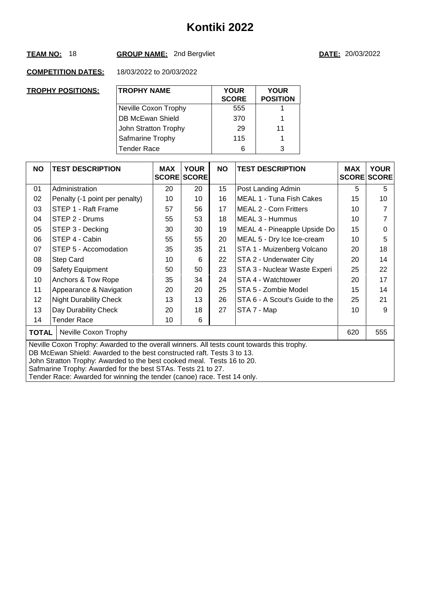# **TEAM NO:** 18 **GROUP NAME:** 2nd Bergvliet **DATE:** 20/03/2022

| <u>TROPHY POSITIONS:</u> | <b>TROPHY NAME</b>   | <b>YOUR</b><br><b>SCORE</b> | <b>YOUR</b><br><b>POSITION</b> |
|--------------------------|----------------------|-----------------------------|--------------------------------|
|                          | Neville Coxon Trophy | 555                         |                                |
|                          | DB McEwan Shield     | 370                         |                                |
|                          | John Stratton Trophy | 29                          | 11                             |
|                          | Safmarine Trophy     | 115                         | 1                              |
|                          | <b>Tender Race</b>   | 6                           | 3                              |

| <b>NO</b>                                                                                                                                                                                                                                                                                                                                                                                 | <b>TEST DESCRIPTION</b>        | <b>MAX</b> | <b>YOUR</b><br><b>SCORE SCORE</b> | <b>NO</b> | <b>TEST DESCRIPTION</b>        | <b>MAX</b> | <b>YOUR</b><br><b>SCORE SCORE</b> |  |
|-------------------------------------------------------------------------------------------------------------------------------------------------------------------------------------------------------------------------------------------------------------------------------------------------------------------------------------------------------------------------------------------|--------------------------------|------------|-----------------------------------|-----------|--------------------------------|------------|-----------------------------------|--|
| 01                                                                                                                                                                                                                                                                                                                                                                                        | Administration                 | 20         | 20                                | 15        | Post Landing Admin             | 5          | 5                                 |  |
| 02                                                                                                                                                                                                                                                                                                                                                                                        | Penalty (-1 point per penalty) | 10         | 10                                | 16        | MEAL 1 - Tuna Fish Cakes       | 15         | 10                                |  |
| 03                                                                                                                                                                                                                                                                                                                                                                                        | STEP 1 - Raft Frame            | 57         | 56                                | 17        | <b>MEAL 2 - Corn Fritters</b>  | 10         |                                   |  |
| 04                                                                                                                                                                                                                                                                                                                                                                                        | STEP 2 - Drums                 | 55         | 53                                | 18        | MEAL 3 - Hummus                | 10         |                                   |  |
| 05                                                                                                                                                                                                                                                                                                                                                                                        | STEP 3 - Decking               | 30         | 30                                | 19        | MEAL 4 - Pineapple Upside Do   | 15         | 0                                 |  |
| 06                                                                                                                                                                                                                                                                                                                                                                                        | STEP 4 - Cabin                 | 55         | 55                                | 20        | MEAL 5 - Dry Ice Ice-cream     | 10         | 5                                 |  |
| 07                                                                                                                                                                                                                                                                                                                                                                                        | STEP 5 - Accomodation          | 35         | 35                                | 21        | STA 1 - Muizenberg Volcano     | 20         | 18                                |  |
| 08                                                                                                                                                                                                                                                                                                                                                                                        | Step Card                      | 10         | 6                                 | 22        | STA 2 - Underwater City        | 20         | 14                                |  |
| 09                                                                                                                                                                                                                                                                                                                                                                                        | Safety Equipment               | 50         | 50                                | 23        | STA 3 - Nuclear Waste Experi   | 25         | 22                                |  |
| 10                                                                                                                                                                                                                                                                                                                                                                                        | Anchors & Tow Rope             | 35         | 34                                | 24        | STA 4 - Watchtower             | 20         | 17                                |  |
| 11                                                                                                                                                                                                                                                                                                                                                                                        | Appearance & Navigation        | 20         | 20                                | 25        | STA 5 - Zombie Model           | 15         | 14                                |  |
| 12                                                                                                                                                                                                                                                                                                                                                                                        | <b>Night Durability Check</b>  | 13         | 13                                | 26        | STA 6 - A Scout's Guide to the | 25         | 21                                |  |
| 13                                                                                                                                                                                                                                                                                                                                                                                        | Day Durability Check           | 20         | 18                                | 27        | STA 7 - Map                    | 10         | 9                                 |  |
| 14                                                                                                                                                                                                                                                                                                                                                                                        | Tender Race                    | 10         | 6                                 |           |                                |            |                                   |  |
| <b>TOTAL</b>                                                                                                                                                                                                                                                                                                                                                                              | Neville Coxon Trophy           |            |                                   |           |                                | 620        | 555                               |  |
| Neville Coxon Trophy: Awarded to the overall winners. All tests count towards this trophy.<br>DB McEwan Shield: Awarded to the best constructed raft. Tests 3 to 13.<br>John Stratton Trophy: Awarded to the best cooked meal. Tests 16 to 20.<br>Safmarine Trophy: Awarded for the best STAs. Tests 21 to 27.<br>Tender Race: Awarded for winning the tender (canoe) race. Test 14 only. |                                |            |                                   |           |                                |            |                                   |  |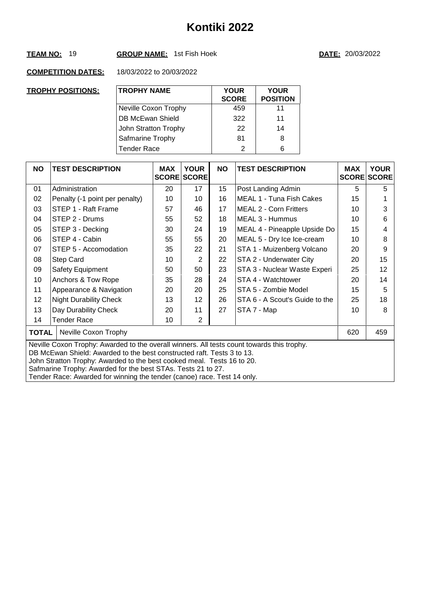## **TEAM NO:** 19 **GROUP NAME:** 1st Fish Hoek **DATE:** 20/03/2022

| <b>TROPHY POSITIONS:</b> | <b>TROPHY NAME</b>   | <b>YOUR</b><br><b>SCORE</b> | <b>YOUR</b><br><b>POSITION</b> |
|--------------------------|----------------------|-----------------------------|--------------------------------|
|                          | Neville Coxon Trophy | 459                         | 11                             |
|                          | DB McEwan Shield     | 322                         | 11                             |
|                          | John Stratton Trophy | 22                          | 14                             |
|                          | Safmarine Trophy     | 81                          | 8                              |
|                          | <b>Tender Race</b>   | 2                           | 6                              |

| <b>NO</b> | <b>TEST DESCRIPTION</b>                                                                                                                                                                                                                                                                                                                                                                   | <b>MAX</b> | <b>YOUR</b><br><b>SCORE SCORE</b> | <b>NO</b> | <b>TEST DESCRIPTION</b>        | <b>MAX</b> | <b>YOUR</b><br><b>SCORE SCORE</b> |  |  |
|-----------|-------------------------------------------------------------------------------------------------------------------------------------------------------------------------------------------------------------------------------------------------------------------------------------------------------------------------------------------------------------------------------------------|------------|-----------------------------------|-----------|--------------------------------|------------|-----------------------------------|--|--|
| 01        | Administration                                                                                                                                                                                                                                                                                                                                                                            | 20         | 17                                | 15        | Post Landing Admin             | 5          | 5                                 |  |  |
| 02        | Penalty (-1 point per penalty)                                                                                                                                                                                                                                                                                                                                                            | 10         | 10                                | 16        | MEAL 1 - Tuna Fish Cakes       | 15         |                                   |  |  |
| 03        | STEP 1 - Raft Frame                                                                                                                                                                                                                                                                                                                                                                       | 57         | 46                                | 17        | <b>MEAL 2 - Corn Fritters</b>  | 10         | 3                                 |  |  |
| 04        | STEP 2 - Drums                                                                                                                                                                                                                                                                                                                                                                            | 55         | 52                                | 18        | MEAL 3 - Hummus                | 10         | 6                                 |  |  |
| 05        | STEP 3 - Decking                                                                                                                                                                                                                                                                                                                                                                          | 30         | 24                                | 19        | MEAL 4 - Pineapple Upside Do   | 15         | 4                                 |  |  |
| 06        | STEP 4 - Cabin                                                                                                                                                                                                                                                                                                                                                                            | 55         | 55                                | 20        | MEAL 5 - Dry Ice Ice-cream     | 10         | 8                                 |  |  |
| 07        | STEP 5 - Accomodation                                                                                                                                                                                                                                                                                                                                                                     | 35         | 22                                | 21        | STA 1 - Muizenberg Volcano     | 20         | 9                                 |  |  |
| 08        | Step Card                                                                                                                                                                                                                                                                                                                                                                                 | 10         | $\overline{2}$                    | 22        | STA 2 - Underwater City        | 20         | 15                                |  |  |
| 09        | Safety Equipment                                                                                                                                                                                                                                                                                                                                                                          | 50         | 50                                | 23        | STA 3 - Nuclear Waste Experi   | 25         | 12                                |  |  |
| 10        | Anchors & Tow Rope                                                                                                                                                                                                                                                                                                                                                                        | 35         | 28                                | 24        | STA 4 - Watchtower             | 20         | 14                                |  |  |
| 11        | Appearance & Navigation                                                                                                                                                                                                                                                                                                                                                                   | 20         | 20                                | 25        | STA 5 - Zombie Model           | 15         | 5                                 |  |  |
| 12        | <b>Night Durability Check</b>                                                                                                                                                                                                                                                                                                                                                             | 13         | 12                                | 26        | STA 6 - A Scout's Guide to the | 25         | 18                                |  |  |
| 13        | Day Durability Check                                                                                                                                                                                                                                                                                                                                                                      | 20         | 11                                | 27        | STA 7 - Map                    | 10         | 8                                 |  |  |
| 14        | Tender Race                                                                                                                                                                                                                                                                                                                                                                               | 10         | $\overline{2}$                    |           |                                |            |                                   |  |  |
| TOTAL     | Neville Coxon Trophy                                                                                                                                                                                                                                                                                                                                                                      |            |                                   |           |                                | 620        | 459                               |  |  |
|           | Neville Coxon Trophy: Awarded to the overall winners. All tests count towards this trophy.<br>DB McEwan Shield: Awarded to the best constructed raft. Tests 3 to 13.<br>John Stratton Trophy: Awarded to the best cooked meal. Tests 16 to 20.<br>Safmarine Trophy: Awarded for the best STAs. Tests 21 to 27.<br>Tender Race: Awarded for winning the tender (canoe) race. Test 14 only. |            |                                   |           |                                |            |                                   |  |  |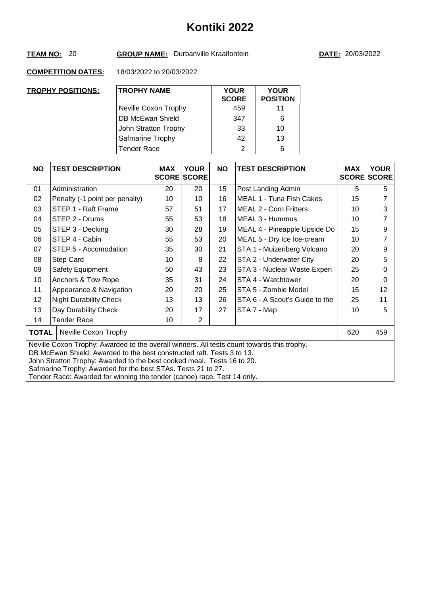## **TEAM NO:** 20 **GROUP NAME:** Durbanville Kraaifontein **DATE:** 20/03/2022

| <b>TROPHY POSITIONS:</b> | <b>TROPHY NAME</b>      | <b>YOUR</b><br><b>SCORE</b> | <b>YOUR</b><br><b>POSITION</b> |
|--------------------------|-------------------------|-----------------------------|--------------------------------|
|                          | Neville Coxon Trophy    | 459                         | 11                             |
|                          | <b>DB McEwan Shield</b> | 347                         | 6                              |
|                          | John Stratton Trophy    | 33                          | 10                             |
|                          | Safmarine Trophy        | 42                          | 13                             |
|                          | <b>Tender Race</b>      | 2                           | 6                              |

| <b>NO</b>    | <b>TEST DESCRIPTION</b>                                                                                                                                                                                                                                                                                                                                                                   | <b>MAX</b> | <b>YOUR</b><br><b>SCORE SCORE</b> | <b>NO</b> | <b>TEST DESCRIPTION</b>        | <b>MAX</b><br><b>SCORE</b> | <b>YOUR</b><br><b>SCORE</b> |  |  |
|--------------|-------------------------------------------------------------------------------------------------------------------------------------------------------------------------------------------------------------------------------------------------------------------------------------------------------------------------------------------------------------------------------------------|------------|-----------------------------------|-----------|--------------------------------|----------------------------|-----------------------------|--|--|
| 01           | Administration                                                                                                                                                                                                                                                                                                                                                                            | 20         | 20                                | 15        | Post Landing Admin             | 5                          | 5                           |  |  |
| 02           | Penalty (-1 point per penalty)                                                                                                                                                                                                                                                                                                                                                            | 10         | 10                                | 16        | MEAL 1 - Tuna Fish Cakes       | 15                         |                             |  |  |
| 03           | STEP 1 - Raft Frame                                                                                                                                                                                                                                                                                                                                                                       | 57         | 51                                | 17        | <b>MEAL 2 - Corn Fritters</b>  | 10                         | 3                           |  |  |
| 04           | STEP 2 - Drums                                                                                                                                                                                                                                                                                                                                                                            | 55         | 53                                | 18        | MEAL 3 - Hummus                | 10                         |                             |  |  |
| 05           | STEP 3 - Decking                                                                                                                                                                                                                                                                                                                                                                          | 30         | 28                                | 19        | MEAL 4 - Pineapple Upside Do   | 15                         | 9                           |  |  |
| 06           | STEP 4 - Cabin                                                                                                                                                                                                                                                                                                                                                                            | 55         | 53                                | 20        | MEAL 5 - Dry Ice Ice-cream     | 10                         |                             |  |  |
| 07           | STEP 5 - Accomodation                                                                                                                                                                                                                                                                                                                                                                     | 35         | 30                                | 21        | STA 1 - Muizenberg Volcano     | 20                         | 9                           |  |  |
| 08           | Step Card                                                                                                                                                                                                                                                                                                                                                                                 | 10         | 8                                 | 22        | STA 2 - Underwater City        | 20                         | 5                           |  |  |
| 09           | <b>Safety Equipment</b>                                                                                                                                                                                                                                                                                                                                                                   | 50         | 43                                | 23        | STA 3 - Nuclear Waste Experi   | 25                         | 0                           |  |  |
| 10           | Anchors & Tow Rope                                                                                                                                                                                                                                                                                                                                                                        | 35         | 31                                | 24        | STA 4 - Watchtower             | 20                         | 0                           |  |  |
| 11           | Appearance & Navigation                                                                                                                                                                                                                                                                                                                                                                   | 20         | 20                                | 25        | STA 5 - Zombie Model           | 15                         | 12                          |  |  |
| 12           | <b>Night Durability Check</b>                                                                                                                                                                                                                                                                                                                                                             | 13         | 13                                | 26        | STA 6 - A Scout's Guide to the | 25                         | 11                          |  |  |
| 13           | Day Durability Check                                                                                                                                                                                                                                                                                                                                                                      | 20         | 17                                | 27        | STA 7 - Map                    | 10                         | 5                           |  |  |
| 14           | Tender Race                                                                                                                                                                                                                                                                                                                                                                               | 10         | $\overline{2}$                    |           |                                |                            |                             |  |  |
| <b>TOTAL</b> | Neville Coxon Trophy                                                                                                                                                                                                                                                                                                                                                                      |            |                                   |           |                                | 620                        | 459                         |  |  |
|              | Neville Coxon Trophy: Awarded to the overall winners. All tests count towards this trophy.<br>DB McEwan Shield: Awarded to the best constructed raft. Tests 3 to 13.<br>John Stratton Trophy: Awarded to the best cooked meal. Tests 16 to 20.<br>Safmarine Trophy: Awarded for the best STAs. Tests 21 to 27.<br>Tender Race: Awarded for winning the tender (canoe) race. Test 14 only. |            |                                   |           |                                |                            |                             |  |  |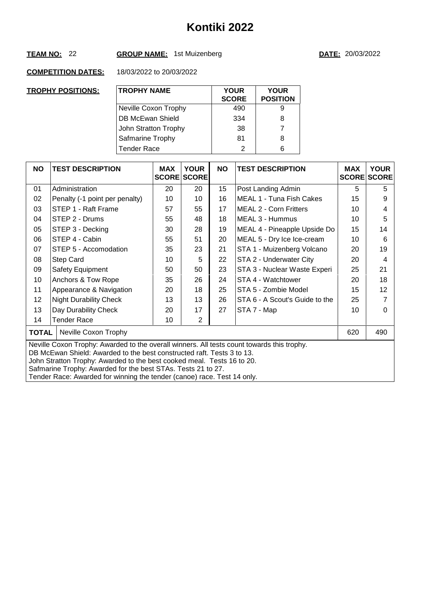## **TEAM NO:** 22 **GROUP NAME:** 1st Muizenberg **DATE:** 20/03/2022

| <u>TROPHY POSITIONS:</u> | <b>TROPHY NAME</b>   | <b>YOUR</b><br><b>SCORE</b> | <b>YOUR</b><br><b>POSITION</b> |
|--------------------------|----------------------|-----------------------------|--------------------------------|
|                          | Neville Coxon Trophy | 490                         | 9                              |
|                          | DB McEwan Shield     | 334                         | 8                              |
|                          | John Stratton Trophy | 38                          | 7                              |
|                          | Safmarine Trophy     | 81                          | 8                              |
|                          | <b>Tender Race</b>   | っ                           | 6                              |

| <b>NO</b>                                                                                                                                                                                                                                                                                                                                                                                 | <b>TEST DESCRIPTION</b>        | <b>MAX</b> | <b>YOUR</b><br><b>SCORE SCORE</b> | <b>NO</b> | <b>TEST DESCRIPTION</b>        | <b>MAX</b> | <b>YOUR</b><br><b>SCORE SCORE</b> |
|-------------------------------------------------------------------------------------------------------------------------------------------------------------------------------------------------------------------------------------------------------------------------------------------------------------------------------------------------------------------------------------------|--------------------------------|------------|-----------------------------------|-----------|--------------------------------|------------|-----------------------------------|
| 01                                                                                                                                                                                                                                                                                                                                                                                        | Administration                 | 20         | 20                                | 15        | Post Landing Admin             | 5          | 5                                 |
| 02                                                                                                                                                                                                                                                                                                                                                                                        | Penalty (-1 point per penalty) | 10         | 10                                | 16        | MEAL 1 - Tuna Fish Cakes       | 15         | 9                                 |
| 03                                                                                                                                                                                                                                                                                                                                                                                        | STEP 1 - Raft Frame            | 57         | 55                                | 17        | <b>MEAL 2 - Corn Fritters</b>  | 10         | 4                                 |
| 04                                                                                                                                                                                                                                                                                                                                                                                        | STEP 2 - Drums                 | 55         | 48                                | 18        | MEAL 3 - Hummus                | 10         | 5                                 |
| 05                                                                                                                                                                                                                                                                                                                                                                                        | STEP 3 - Decking               | 30         | 28                                | 19        | MEAL 4 - Pineapple Upside Do   | 15         | 14                                |
| 06                                                                                                                                                                                                                                                                                                                                                                                        | STEP 4 - Cabin                 | 55         | 51                                | 20        | MEAL 5 - Dry Ice Ice-cream     | 10         | 6                                 |
| 07                                                                                                                                                                                                                                                                                                                                                                                        | STEP 5 - Accomodation          | 35         | 23                                | 21        | STA 1 - Muizenberg Volcano     | 20         | 19                                |
| 08                                                                                                                                                                                                                                                                                                                                                                                        | Step Card                      | 10         | 5                                 | 22        | STA 2 - Underwater City        | 20         | 4                                 |
| 09                                                                                                                                                                                                                                                                                                                                                                                        | Safety Equipment               | 50         | 50                                | 23        | STA 3 - Nuclear Waste Experi   | 25         | 21                                |
| 10                                                                                                                                                                                                                                                                                                                                                                                        | Anchors & Tow Rope             | 35         | 26                                | 24        | STA 4 - Watchtower             | 20         | 18                                |
| 11                                                                                                                                                                                                                                                                                                                                                                                        | Appearance & Navigation        | 20         | 18                                | 25        | STA 5 - Zombie Model           | 15         | 12                                |
| 12                                                                                                                                                                                                                                                                                                                                                                                        | <b>Night Durability Check</b>  | 13         | 13                                | 26        | STA 6 - A Scout's Guide to the | 25         |                                   |
| 13                                                                                                                                                                                                                                                                                                                                                                                        | Day Durability Check           | 20         | 17                                | 27        | STA 7 - Map                    | 10         | 0                                 |
| 14                                                                                                                                                                                                                                                                                                                                                                                        | <b>Tender Race</b>             | 10         | $\overline{2}$                    |           |                                |            |                                   |
| <b>TOTAL</b><br>Neville Coxon Trophy                                                                                                                                                                                                                                                                                                                                                      |                                |            |                                   |           |                                | 620        | 490                               |
| Neville Coxon Trophy: Awarded to the overall winners. All tests count towards this trophy.<br>DB McEwan Shield: Awarded to the best constructed raft. Tests 3 to 13.<br>John Stratton Trophy: Awarded to the best cooked meal. Tests 16 to 20.<br>Safmarine Trophy: Awarded for the best STAs. Tests 21 to 27.<br>Tender Race: Awarded for winning the tender (canoe) race. Test 14 only. |                                |            |                                   |           |                                |            |                                   |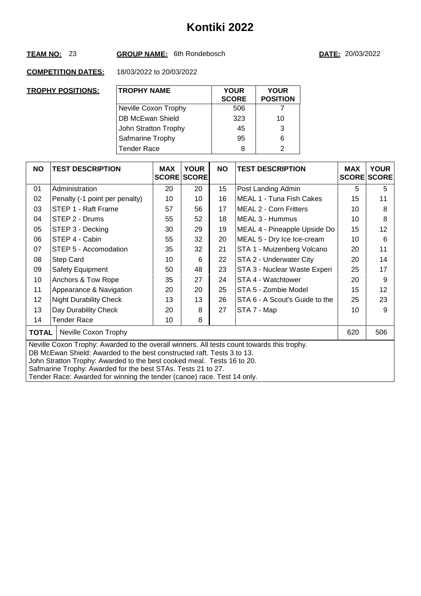## **TEAM NO:** 23 **GROUP NAME:** 6th Rondebosch **DATE:** 20/03/2022

| <b>TROPHY POSITIONS:</b> | <b>TROPHY NAME</b>   | <b>YOUR</b><br><b>SCORE</b> | <b>YOUR</b><br><b>POSITION</b> |
|--------------------------|----------------------|-----------------------------|--------------------------------|
|                          | Neville Coxon Trophy | 506                         |                                |
|                          | DB McEwan Shield     | 323                         | 10                             |
|                          | John Stratton Trophy | 45                          | 3                              |
|                          | Safmarine Trophy     | 95                          | 6                              |
|                          | <b>Tender Race</b>   | 8                           | $\mathcal{P}$                  |

| <b>NO</b>                                                                                                                                                                                                                                                                                                                                                                                 | <b>TEST DESCRIPTION</b>        | <b>MAX</b> | <b>YOUR</b><br><b>SCORE SCORE</b> | <b>NO</b> | <b>TEST DESCRIPTION</b>        | <b>MAX</b> | <b>YOUR</b><br><b>SCORE SCORE</b> |
|-------------------------------------------------------------------------------------------------------------------------------------------------------------------------------------------------------------------------------------------------------------------------------------------------------------------------------------------------------------------------------------------|--------------------------------|------------|-----------------------------------|-----------|--------------------------------|------------|-----------------------------------|
| 01                                                                                                                                                                                                                                                                                                                                                                                        | Administration                 | 20         | 20                                | 15        | Post Landing Admin             | 5          | 5                                 |
| 02                                                                                                                                                                                                                                                                                                                                                                                        | Penalty (-1 point per penalty) | 10         | 10                                | 16        | MEAL 1 - Tuna Fish Cakes       | 15         | 11                                |
| 03                                                                                                                                                                                                                                                                                                                                                                                        | STEP 1 - Raft Frame            | 57         | 56                                | 17        | <b>MEAL 2 - Corn Fritters</b>  | 10         | 8                                 |
| 04                                                                                                                                                                                                                                                                                                                                                                                        | STEP 2 - Drums                 | 55         | 52                                | 18        | MEAL 3 - Hummus                | 10         | 8                                 |
| 05                                                                                                                                                                                                                                                                                                                                                                                        | STEP 3 - Decking               | 30         | 29                                | 19        | MEAL 4 - Pineapple Upside Do   | 15         | 12                                |
| 06                                                                                                                                                                                                                                                                                                                                                                                        | STEP 4 - Cabin                 | 55         | 32                                | 20        | MEAL 5 - Dry Ice Ice-cream     | 10         | 6                                 |
| 07                                                                                                                                                                                                                                                                                                                                                                                        | STEP 5 - Accomodation          | 35         | 32                                | 21        | STA 1 - Muizenberg Volcano     | 20         | 11                                |
| 08                                                                                                                                                                                                                                                                                                                                                                                        | <b>Step Card</b>               | 10         | 6                                 | 22        | STA 2 - Underwater City        | 20         | 14                                |
| 09                                                                                                                                                                                                                                                                                                                                                                                        | <b>Safety Equipment</b>        | 50         | 48                                | 23        | STA 3 - Nuclear Waste Experi   | 25         | 17                                |
| 10                                                                                                                                                                                                                                                                                                                                                                                        | Anchors & Tow Rope             | 35         | 27                                | 24        | STA 4 - Watchtower             | 20         | 9                                 |
| 11                                                                                                                                                                                                                                                                                                                                                                                        | Appearance & Navigation        | 20         | 20                                | 25        | STA 5 - Zombie Model           | 15         | 12                                |
| 12                                                                                                                                                                                                                                                                                                                                                                                        | <b>Night Durability Check</b>  | 13         | 13                                | 26        | STA 6 - A Scout's Guide to the | 25         | 23                                |
| 13                                                                                                                                                                                                                                                                                                                                                                                        | Day Durability Check           | 20         | 8                                 | 27        | STA 7 - Map                    | 10         | 9                                 |
| 14                                                                                                                                                                                                                                                                                                                                                                                        | Tender Race                    | 10         | 8                                 |           |                                |            |                                   |
| <b>TOTAL</b><br>Neville Coxon Trophy                                                                                                                                                                                                                                                                                                                                                      |                                |            |                                   |           |                                | 620        | 506                               |
| Neville Coxon Trophy: Awarded to the overall winners. All tests count towards this trophy.<br>DB McEwan Shield: Awarded to the best constructed raft. Tests 3 to 13.<br>John Stratton Trophy: Awarded to the best cooked meal. Tests 16 to 20.<br>Safmarine Trophy: Awarded for the best STAs. Tests 21 to 27.<br>Tender Race: Awarded for winning the tender (canoe) race. Test 14 only. |                                |            |                                   |           |                                |            |                                   |